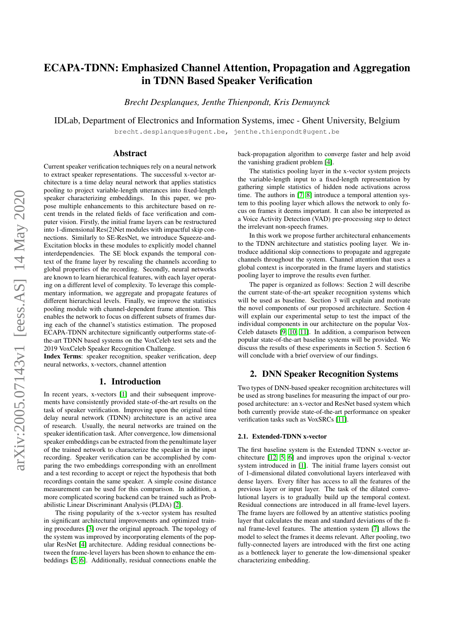# ECAPA-TDNN: Emphasized Channel Attention, Propagation and Aggregation in TDNN Based Speaker Verification

*Brecht Desplanques, Jenthe Thienpondt, Kris Demuynck*

IDLab, Department of Electronics and Information Systems, imec - Ghent University, Belgium

brecht.desplanques@ugent.be, jenthe.thienpondt@ugent.be

## Abstract

Current speaker verification techniques rely on a neural network to extract speaker representations. The successful x-vector architecture is a time delay neural network that applies statistics pooling to project variable-length utterances into fixed-length speaker characterizing embeddings. In this paper, we propose multiple enhancements to this architecture based on recent trends in the related fields of face verification and computer vision. Firstly, the initial frame layers can be restructured into 1-dimensional Res(2)Net modules with impactful skip connections. Similarly to SE-ResNet, we introduce Squeeze-and-Excitation blocks in these modules to explicitly model channel interdependencies. The SE block expands the temporal context of the frame layer by rescaling the channels according to global properties of the recording. Secondly, neural networks are known to learn hierarchical features, with each layer operating on a different level of complexity. To leverage this complementary information, we aggregate and propagate features of different hierarchical levels. Finally, we improve the statistics pooling module with channel-dependent frame attention. This enables the network to focus on different subsets of frames during each of the channel's statistics estimation. The proposed ECAPA-TDNN architecture significantly outperforms state-ofthe-art TDNN based systems on the VoxCeleb test sets and the 2019 VoxCeleb Speaker Recognition Challenge.

Index Terms: speaker recognition, speaker verification, deep neural networks, x-vectors, channel attention

## 1. Introduction

In recent years, x-vectors [\[1\]](#page-4-0) and their subsequent improvements have consistently provided state-of-the-art results on the task of speaker verification. Improving upon the original time delay neural network (TDNN) architecture is an active area of research. Usually, the neural networks are trained on the speaker identification task. After convergence, low dimensional speaker embeddings can be extracted from the penultimate layer of the trained network to characterize the speaker in the input recording. Speaker verification can be accomplished by comparing the two embeddings corresponding with an enrollment and a test recording to accept or reject the hypothesis that both recordings contain the same speaker. A simple cosine distance measurement can be used for this comparison. In addition, a more complicated scoring backend can be trained such as Probabilistic Linear Discriminant Analysis (PLDA) [\[2\]](#page-4-1).

The rising popularity of the x-vector system has resulted in significant architectural improvements and optimized training procedures [\[3\]](#page-4-2) over the original approach. The topology of the system was improved by incorporating elements of the popular ResNet [\[4\]](#page-4-3) architecture. Adding residual connections between the frame-level layers has been shown to enhance the embeddings [\[5,](#page-4-4) [6\]](#page-4-5). Additionally, residual connections enable the back-propagation algorithm to converge faster and help avoid the vanishing gradient problem [\[4\]](#page-4-3).

The statistics pooling layer in the x-vector system projects the variable-length input to a fixed-length representation by gathering simple statistics of hidden node activations across time. The authors in [\[7,](#page-4-6) [8\]](#page-4-7) introduce a temporal attention system to this pooling layer which allows the network to only focus on frames it deems important. It can also be interpreted as a Voice Activity Detection (VAD) pre-processing step to detect the irrelevant non-speech frames.

In this work we propose further architectural enhancements to the TDNN architecture and statistics pooling layer. We introduce additional skip connections to propagate and aggregate channels throughout the system. Channel attention that uses a global context is incorporated in the frame layers and statistics pooling layer to improve the results even further.

The paper is organized as follows: Section 2 will describe the current state-of-the-art speaker recognition systems which will be used as baseline. Section 3 will explain and motivate the novel components of our proposed architecture. Section 4 will explain our experimental setup to test the impact of the individual components in our architecture on the popular Vox-Celeb datasets [\[9,](#page-4-8) [10,](#page-4-9) [11\]](#page-4-10). In addition, a comparison between popular state-of-the-art baseline systems will be provided. We discuss the results of these experiments in Section 5. Section 6 will conclude with a brief overview of our findings.

## <span id="page-0-1"></span>2. DNN Speaker Recognition Systems

Two types of DNN-based speaker recognition architectures will be used as strong baselines for measuring the impact of our proposed architecture: an x-vector and ResNet based system which both currently provide state-of-the-art performance on speaker verification tasks such as VoxSRCs [\[11\]](#page-4-10).

## <span id="page-0-0"></span>2.1. Extended-TDNN x-vector

The first baseline system is the Extended TDNN x-vector architecture [\[12,](#page-4-11) [5,](#page-4-4) [6\]](#page-4-5) and improves upon the original x-vector system introduced in [\[1\]](#page-4-0). The initial frame layers consist out of 1-dimensional dilated convolutional layers interleaved with dense layers. Every filter has access to all the features of the previous layer or input layer. The task of the dilated convolutional layers is to gradually build up the temporal context. Residual connections are introduced in all frame-level layers. The frame layers are followed by an attentive statistics pooling layer that calculates the mean and standard deviations of the final frame-level features. The attention system [\[7\]](#page-4-6) allows the model to select the frames it deems relevant. After pooling, two fully-connected layers are introduced with the first one acting as a bottleneck layer to generate the low-dimensional speaker characterizing embedding.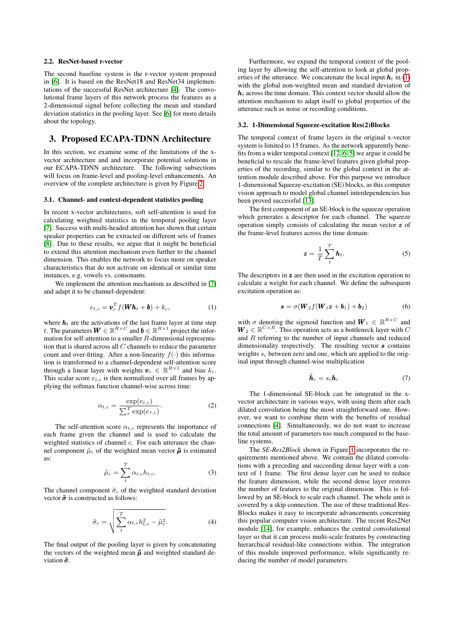## <span id="page-1-1"></span>2.2. ResNet-based r-vector

The second baseline system is the r-vector system proposed in [\[6\]](#page-4-5). It is based on the ResNet18 and ResNet34 implementations of the successful ResNet architecture [\[4\]](#page-4-3). The convolutional frame layers of this network process the features as a 2-dimensional signal before collecting the mean and standard deviation statistics in the pooling layer. See [\[6\]](#page-4-5) for more details about the topology.

## <span id="page-1-2"></span>3. Proposed ECAPA-TDNN Architecture

In this section, we examine some of the limitations of the xvector architecture and and incorporate potential solutions in our ECAPA-TDNN architecture. The following subsections will focus on frame-level and pooling-level enhancements. An overview of the complete architecture is given by Figure [2.](#page-2-0)

#### 3.1. Channel- and context-dependent statistics pooling

In recent x-vector architectures, soft self-attention is used for calculating weighted statistics in the temporal pooling layer [\[7\]](#page-4-6). Success with multi-headed attention has shown that certain speaker properties can be extracted on different sets of frames [\[8\]](#page-4-7). Due to these results, we argue that it might be beneficial to extend this attention mechanism even further to the channel dimension. This enables the network to focus more on speaker characteristics that do not activate on identical or similar time instances, e.g. vowels vs. consonants.

We implement the attention mechanism as described in [\[7\]](#page-4-6) and adapt it to be channel-dependent:

<span id="page-1-0"></span>
$$
e_{t,c} = \boldsymbol{v}_c^T f(\boldsymbol{W} \boldsymbol{h}_t + \boldsymbol{b}) + k_c, \tag{1}
$$

where  $h_t$  are the activations of the last frame layer at time step t. The parameters  $\boldsymbol{W} \in \mathbb{R}^{R \times C}$  and  $\boldsymbol{b} \in \mathbb{R}^{R \times 1}$  project the information for self-attention to a smaller R-dimensional representation that is shared across all  $C$  channels to reduce the parameter count and over-fitting. After a non-linearity  $f(\cdot)$  this information is transformed to a channel-dependent self-attention score through a linear layer with weights  $\mathbf{v}_c \in \mathbb{R}^{R \times 1}$  and bias  $k_c$ . This scalar score  $e_{t,c}$  is then normalized over all frames by applying the softmax function channel-wise across time:

$$
\alpha_{t,c} = \frac{\exp(e_{t,c})}{\sum_{\tau}^{T} \exp(e_{\tau,c})}.
$$
 (2)

The self-attention score  $\alpha_{t,c}$  represents the importance of each frame given the channel and is used to calculate the weighted statistics of channel c. For each utterance the channel component  $\tilde{\mu}_c$  of the weighted mean vector  $\tilde{\mu}$  is estimated as:

$$
\tilde{\mu}_c = \sum_t^T \alpha_{t,c} h_{t,c}.\tag{3}
$$

The channel component  $\tilde{\sigma}_c$  of the weighted standard deviation vector  $\tilde{\sigma}$  is constructed as follows:

$$
\tilde{\sigma}_c = \sqrt{\sum_t^T \alpha_{t,c} h_{t,c}^2 - \tilde{\mu}_c^2}.
$$
 (4)

The final output of the pooling layer is given by concatenating the vectors of the weighted mean  $\tilde{\mu}$  and weighted standard deviation  $\tilde{\sigma}$ .

Furthermore, we expand the temporal context of the pooling layer by allowing the self-attention to look at global properties of the utterance. We concatenate the local input  $h_t$  in [\(1\)](#page-1-0) with the global non-weighted mean and standard deviation of  $h_t$  across the time domain. This context vector should allow the attention mechanism to adapt itself to global properties of the utterance such as noise or recording conditions.

#### <span id="page-1-3"></span>3.2. 1-Dimensional Squeeze-excitation Res(2)Blocks

The temporal context of frame layers in the original x-vector system is limited to 15 frames. As the network apparently benefits from a wider temporal context [\[12,](#page-4-11) [6,](#page-4-5) [5\]](#page-4-4) we argue it could be beneficial to rescale the frame-level features given global properties of the recording, similar to the global context in the attention module described above. For this purpose we introduce 1-dimensional Squeeze-excitation (SE) blocks, as this computer vision approach to model global channel interdependencies has been proved successful [\[13\]](#page-4-12).

The first component of an SE-block is the squeeze operation which generates a descriptor for each channel. The squeeze operation simply consists of calculating the mean vector z of the frame-level features across the time domain:

$$
\boldsymbol{z} = \frac{1}{T} \sum_{t}^{T} \boldsymbol{h}_t. \tag{5}
$$

The descriptors in  $z$  are then used in the excitation operation to calculate a weight for each channel. We define the subsequent excitation operation as:

$$
\mathbf{s} = \sigma(\mathbf{W}_2 f(\mathbf{W}_1 \mathbf{z} + \mathbf{b}_1) + \mathbf{b}_2) \tag{6}
$$

with  $\sigma$  denoting the sigmoid function and  $W_1 \in \mathbb{R}^{R \times C}$  and  $W_2 \in \mathbb{R}^{C \times R}$ . This operation acts as a bottleneck layer with C and R referring to the number of input channels and reduced dimensionality respectively. The resulting vector  $s$  contains weights  $s_c$  between zero and one, which are applied to the original input through channel-wise multiplication

$$
\tilde{\boldsymbol{h}}_c = s_c \boldsymbol{h}_c \tag{7}
$$

The 1-dimensional SE-block can be integrated in the xvector architecture in various ways, with using them after each dilated convolution being the most straightforward one. However, we want to combine them with the benefits of residual connections [\[4\]](#page-4-3). Simultaneously, we do not want to increase the total amount of parameters too much compared to the baseline systems.

The *SE-Res2Block* shown in Figure [1](#page-2-1) incorporates the requirements mentioned above. We contain the dilated convolutions with a preceding and succeeding dense layer with a context of 1 frame. The first dense layer can be used to reduce the feature dimension, while the second dense layer restores the number of features to the original dimension. This is followed by an SE-block to scale each channel. The whole unit is covered by a skip connection. The use of these traditional Res-Blocks makes it easy to incorporate advancements concerning this popular computer vision architecture. The recent Res2Net module [\[14\]](#page-4-13), for example, enhances the central convolutional layer so that it can process multi-scale features by constructing hierarchical residual-like connections within. The integration of this module improved performance, while significantly reducing the number of model parameters.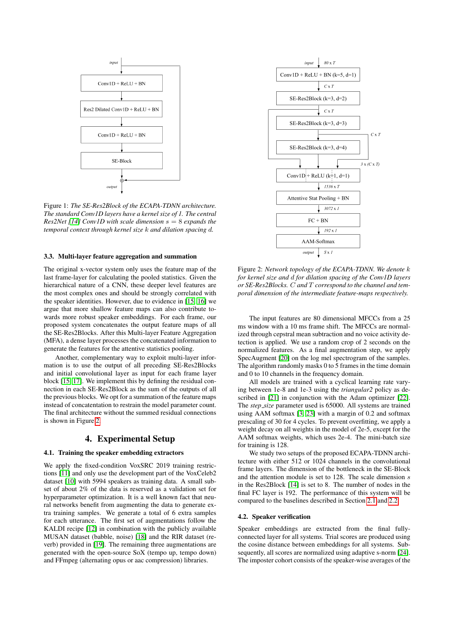<span id="page-2-1"></span>

Figure 1: *The SE-Res2Block of the ECAPA-TDNN architecture. The standard Conv1D layers have a kernel size of 1. The central Res2Net [\[14\]](#page-4-13) Conv1D with scale dimension* s = 8 *expands the temporal context through kernel size* k *and dilation spacing* d*.*

### 3.3. Multi-layer feature aggregation and summation

The original x-vector system only uses the feature map of the last frame-layer for calculating the pooled statistics. Given the hierarchical nature of a CNN, these deeper level features are the most complex ones and should be strongly correlated with the speaker identities. However, due to evidence in [\[15,](#page-4-14) [16\]](#page-4-15) we argue that more shallow feature maps can also contribute towards more robust speaker embeddings. For each frame, our proposed system concatenates the output feature maps of all the SE-Res2Blocks. After this Multi-layer Feature Aggregation (MFA), a dense layer processes the concatenated information to generate the features for the attentive statistics pooling.

Another, complementary way to exploit multi-layer information is to use the output of all preceding SE-Res2Blocks and initial convolutional layer as input for each frame layer block [\[15,](#page-4-14) [17\]](#page-4-16). We implement this by defining the residual connection in each SE-Res2Block as the sum of the outputs of all the previous blocks. We opt for a summation of the feature maps instead of concatentation to restrain the model parameter count. The final architecture without the summed residual connections is shown in Figure [2.](#page-2-0)

## 4. Experimental Setup

## 4.1. Training the speaker embedding extractors

We apply the fixed-condition VoxSRC 2019 training restrictions [\[11\]](#page-4-10) and only use the development part of the VoxCeleb2 dataset [\[10\]](#page-4-9) with 5994 speakers as training data. A small subset of about 2% of the data is reserved as a validation set for hyperparameter optimization. It is a well known fact that neural networks benefit from augmenting the data to generate extra training samples. We generate a total of 6 extra samples for each utterance. The first set of augmentations follow the KALDI recipe [\[12\]](#page-4-11) in combination with the publicly available MUSAN dataset (babble, noise) [\[18\]](#page-4-17) and the RIR dataset (reverb) provided in [\[19\]](#page-4-18). The remaining three augmentations are generated with the open-source SoX (tempo up, tempo down) and FFmpeg (alternating opus or aac compression) libraries.

<span id="page-2-0"></span>

Figure 2: *Network topology of the ECAPA-TDNN. We denote* k *for kernel size and* d *for dilation spacing of the Conv1D layers or SE-Res2Blocks.* C *and* T *correspond to the channel and temporal dimension of the intermediate feature-maps respectively.*

The input features are 80 dimensional MFCCs from a 25 ms window with a 10 ms frame shift. The MFCCs are normalized through cepstral mean subtraction and no voice activity detection is applied. We use a random crop of 2 seconds on the normalized features. As a final augmentation step, we apply SpecAugment [\[20\]](#page-4-19) on the log mel spectrogram of the samples. The algorithm randomly masks 0 to 5 frames in the time domain and 0 to 10 channels in the frequency domain.

All models are trained with a cyclical learning rate varying between 1e-8 and 1e-3 using the *triangular2* policy as de-scribed in [\[21\]](#page-4-20) in conjunction with the Adam optimizer [\[22\]](#page-4-21). The *step size* parameter used is 65000. All systems are trained using AAM softmax [\[3,](#page-4-2) [23\]](#page-4-22) with a margin of 0.2 and softmax prescaling of 30 for 4 cycles. To prevent overfitting, we apply a weight decay on all weights in the model of 2e-5, except for the AAM softmax weights, which uses 2e-4. The mini-batch size for training is 128.

We study two setups of the proposed ECAPA-TDNN architecture with either 512 or 1024 channels in the convolutional frame layers. The dimension of the bottleneck in the SE-Block and the attention module is set to 128. The scale dimension s in the Res2Block [\[14\]](#page-4-13) is set to 8. The number of nodes in the final FC layer is 192. The performance of this system will be compared to the baselines described in Section [2.1](#page-0-0) and [2.2.](#page-1-1)

#### 4.2. Speaker verification

Speaker embeddings are extracted from the final fullyconnected layer for all systems. Trial scores are produced using the cosine distance between embeddings for all systems. Subsequently, all scores are normalized using adaptive s-norm [\[24\]](#page-4-23). The imposter cohort consists of the speaker-wise averages of the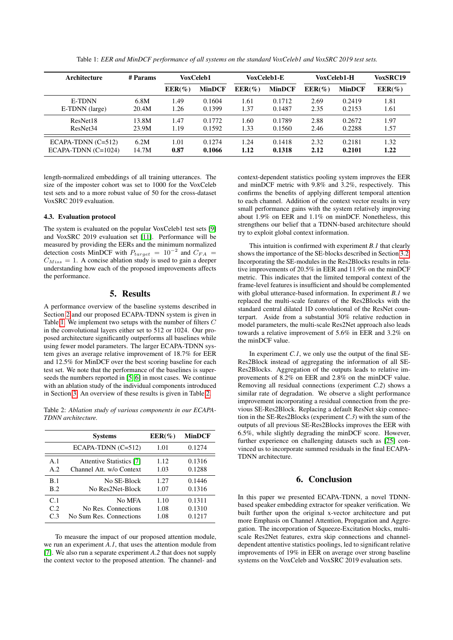<span id="page-3-0"></span>

| Architecture          | # Params | VoxCeleb1<br>VoxCeleb1-E |               | VoxCeleb1-H |               | <b>VoxSRC19</b> |               |           |
|-----------------------|----------|--------------------------|---------------|-------------|---------------|-----------------|---------------|-----------|
|                       |          | $EER(\%)$                | <b>MinDCF</b> | $EER(\%)$   | <b>MinDCF</b> | $EER(\%)$       | <b>MinDCF</b> | $EER(\%)$ |
| E-TDNN                | 6.8M     | 1.49                     | 0.1604        | 1.61        | 0.1712        | 2.69            | 0.2419        | 1.81      |
| E-TDNN (large)        | 20.4M    | 1.26                     | 0.1399        | 1.37        | 0.1487        | 2.35            | 0.2153        | 1.61      |
| ResNet18              | 13.8M    | 1.47                     | 0.1772        | 1.60        | 0.1789        | 2.88            | 0.2672        | 1.97      |
| ResNet <sub>34</sub>  | 23.9M    | 1.19                     | 0.1592        | 1.33        | 0.1560        | 2.46            | 0.2288        | 1.57      |
| $ECAPA-TDNN (C=512)$  | 6.2M     | 1.01                     | 0.1274        | 1.24        | 0.1418        | 2.32            | 0.2181        | 1.32      |
| $ECAPA-TDNN (C=1024)$ | 14.7M    | 0.87                     | 0.1066        | 1.12        | 0.1318        | 2.12            | 0.2101        | 1.22      |

Table 1: *EER and MinDCF performance of all systems on the standard VoxCeleb1 and VoxSRC 2019 test sets.*

length-normalized embeddings of all training utterances. The size of the imposter cohort was set to 1000 for the VoxCeleb test sets and to a more robust value of 50 for the cross-dataset VoxSRC 2019 evaluation.

#### 4.3. Evaluation protocol

The system is evaluated on the popular VoxCeleb1 test sets [\[9\]](#page-4-8) and VoxSRC 2019 evaluation set [\[11\]](#page-4-10). Performance will be measured by providing the EERs and the minimum normalized detection costs MinDCF with  $P_{target} = 10^{-2}$  and  $C_{FA} =$  $C_{Miss} = 1$ . A concise ablation study is used to gain a deeper understanding how each of the proposed improvements affects the performance.

## 5. Results

A performance overview of the baseline systems described in Section [2](#page-0-1) and our proposed ECAPA-TDNN system is given in Table [1.](#page-3-0) We implement two setups with the number of filters C in the convolutional layers either set to 512 or 1024. Our proposed architecture significantly outperforms all baselines while using fewer model parameters. The larger ECAPA-TDNN system gives an average relative improvement of 18.7% for EER and 12.5% for MinDCF over the best scoring baseline for each test set. We note that the performance of the baselines is superseeds the numbers reported in [\[5,](#page-4-4) [6\]](#page-4-5) in most cases. We continue with an ablation study of the individual components introduced in Section [3.](#page-1-2) An overview of these results is given in Table [2.](#page-3-1)

<span id="page-3-1"></span>Table 2: *Ablation study of various components in our ECAPA-TDNN architecture.*

|                | <b>Systems</b>                  | $EER(\%)$ | <b>MinDCF</b> |  |
|----------------|---------------------------------|-----------|---------------|--|
|                | $ECAPA-TDNN (C=512)$            | 1.01      | 0.1274        |  |
| A.1            | <b>Attentive Statistics</b> [7] | 1.12      | 0.1316        |  |
| A.2            | Channel Att. w/o Context        | 1.03      | 0.1288        |  |
| B.1            | No SE-Block                     | 1.27      | 0.1446        |  |
| B.2            | No Res2Net-Block                | 1.07      | 0.1316        |  |
| C <sub>1</sub> | No MFA                          | 1.10      | 0.1311        |  |
| C.2            | No Res. Connections             | 1.08      | 0.1310        |  |
| C <sub>3</sub> | No Sum Res. Connections         | 1.08      | 0.1217        |  |

To measure the impact of our proposed attention module, we run an experiment *A.1*, that uses the attention module from [\[7\]](#page-4-6). We also run a separate experiment *A.2* that does not supply the context vector to the proposed attention. The channel- and context-dependent statistics pooling system improves the EER and minDCF metric with 9.8% and 3.2%, respectively. This confirms the benefits of applying different temporal attention to each channel. Addition of the context vector results in very small performance gains with the system relatively improving about 1.9% on EER and 1.1% on minDCF. Nonetheless, this strengthens our belief that a TDNN-based architecture should try to exploit global context information.

This intuition is confirmed with experiment *B.1* that clearly shows the importance of the SE-blocks described in Section [3.2.](#page-1-3) Incorporating the SE-modules in the Res2Blocks results in relative improvements of 20.5% in EER and 11.9% on the minDCF metric. This indicates that the limited temporal context of the frame-level features is insufficient and should be complemented with global utterance-based information. In experiment *B.1* we replaced the multi-scale features of the Res2Blocks with the standard central dilated 1D convolutional of the ResNet counterpart. Aside from a substantial 30% relative reduction in model parameters, the multi-scale Res2Net approach also leads towards a relative improvement of 5.6% in EER and 3.2% on the minDCF value.

In experiment *C.1*, we only use the output of the final SE-Res2Block instead of aggregating the information of all SE-Res2Blocks. Aggregation of the outputs leads to relative improvements of 8.2% on EER and 2.8% on the minDCF value. Removing all residual connections (experiment *C.2*) shows a similar rate of degradation. We observe a slight performance improvement incorporating a residual connection from the previous SE-Res2Block. Replacing a default ResNet skip connection in the SE-Res2Blocks (experiment *C.3*) with the sum of the outputs of all previous SE-Res2Blocks improves the EER with 6.5%, while slightly degrading the minDCF score. However, further experience on challenging datasets such as [\[25\]](#page-4-24) convinced us to incorporate summed residuals in the final ECAPA-TDNN architecture.

# 6. Conclusion

In this paper we presented ECAPA-TDNN, a novel TDNNbased speaker embedding extractor for speaker verification. We built further upon the original x-vector architecture and put more Emphasis on Channel Attention, Propagation and Aggregation. The incorporation of Squeeze-Excitation blocks, multiscale Res2Net features, extra skip connections and channeldependent attentive statistics poolings, led to significant relative improvements of 19% in EER on average over strong baseline systems on the VoxCeleb and VoxSRC 2019 evaluation sets.